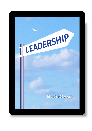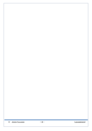© John Iuliano ~ 2 ~ Leadership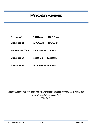## **PROGRAMME**

| <b>SESSION 1:</b> | $9.00$ AM - 10.00AM |  |
|-------------------|---------------------|--|
|                   |                     |  |

Session 2: 10.00am – 11.00am

Morning Tea: 11.00am – 11.30am

Session 3: 11.30am – 12.30pm

Session 4: 12.30pm – 1.00pm

*"And the things that you have heard fromme amongmanywitnesses, commit these to faithfulmen whowill be able to teach others also." 2 Timothy 2:2*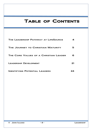## TABLE OF CONTENTS

| THE LEADERSHIP PATHWAY AT LIFESOURCE  |    |
|---------------------------------------|----|
| THE JOURNEY TO CHRISTIAN MATURITY     | 5  |
| THE CORE VALUES OF A CHRISTIAN LEADER |    |
| <b>LEADERSHIP DEVELOPMENT</b>         | 21 |
| <b>IDENTIFYING POTENTIAL LEADERS</b>  |    |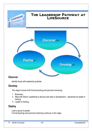

### **Discover**

Identify those with leadership potential.

`

### **Develop**

*This stage involves both formal teaching and personal mentoring.*

- 1. Bootcamp.
- 2. Meet with Senior Leadership to discuss next step in development placement as leader in training.
- 3. Leader-in-training.

## **Deploy**

Lead a group of people. *Formal teaching and personal mentoring continues in this stage.*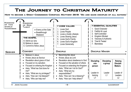#### THE JOURNEY TO CHRISTIAN MATURITY How to become a Great Commission Christian. Matthew 28:19: "Go and make disciples of all nations." **KINGDOM** of this WORLD. \*darkness **KINGDOM** of God  $*$ light SEEKER CONVERT • Believer in Jesus • Knows Jesus as Saviour Revelation about grace of God • Focused on my salvation • Focused on entering the Kingdom • Asks, "What has God done for me?" • Asks, "What are my privileges?" • Asks, "How can I be blessed?" • Asks, "Who can help me? **DISCIPLE** • Becoming like Jesus • Knows Jesus as Lord • Revelation about obedience to God • Focused on the salvation of others • Focused on extending the Kingdom • Asks, "What can I do for God?" • Asks, "What are my responsibilities?" • Asks, "How can I be a blessing?" • Asks, "How can I help others?" Disciple Maker THE GOSPEL A: Admit our sins B: Believe in Jesus C: Commit to follow Jesus 7 ESSENTIAL QUALITIES 1. Good Character 2. Faithful & Loyal 3. Self-Controlled 4. Kingdom Minded 5. Visionary & Authentic 6. Tried & Tested 7. Blameless 7 CORE VALUES 1. Loves God 2. Loves People 3. Loves a Godly Lifestyle 4. Loves Sharing Jesus 5. Loves God's Family 6. Loves God's Kingdom 7. Loves Generosity **Discipling one person** Leader-intraining  $\mathsf{L}$ **Discipling a group** Leader  $\overline{11}$ **Raising Disciple Makers** Leader of Leaders  $\overline{2}$ • Enemy at the Gate • Breakthrough **Weekend**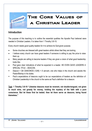

# The Core Values of a Christian Leader

## **Introduction**

The purpose of this teaching is to outline the essential qualities the Apostle Paul believed were needed in Christian Leaders. It is taken from 1 Timothy 3:8-10.

Every church needs good quality leaders for it to achieve its God-given purpose.

- Some churches are blessed with great leaders whilst others feel they are lacking.
- I believe every church can have great leaders if someone is willing to pay the price to raise them up.
- Many people are willing to become leaders if they are given a vision of what good leadership looks like.
- Paul gave clear indications of what he expected in a leader. HE EVEN GAVE LEADERS A SPECIAL TITLE – DEACON.
- **•** Deacon = GK DIAKONOS (1249) = A servant, one who helps in the church and assists the Pastor/Bishop in his duties.
- Paul's expectations of deacons ought to be our expectations of leaders as the definition of Christian Leadership in the church is the same as Paul's definition for a deacon.

**Text: 1 Timothy 3:8-10 "Likewise deacons must be reverent, not double-tongued, not given to much wine, not greedy for money, holding the mystery of the faith with a pure conscience. But let these first be tested; then let them serve as deacons, being found blameless."**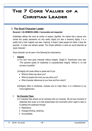# The 7 Core Values of a Christian Leader

### **1. The Good Character Leader**

#### **Reverent = Gk SEMNOS (4586) = honourable and respected**

Zodiahates defines this word as worthy of respect, dignified. He implies that a person who carries this quality represents not only earthy dignity but also a heavenly dignity. It is a quality that is both majestic and awe- inspiring. It doesn't repel people but rather it does the opposite. It invites and attracts people. The simple definition is what we would describe as "good character".

Good character can be seen in the following four descriptions:

#### 1. **Integrity**

(i) You can't have good character without integrity. Dwight D. Eisenhower once said: "The supreme quality for leadership is unquestionably integrity. Without it, no real success is possible."

(ii) Integrity will cause others to speak well of you:

- What do others say about you?
- What do people who know you say about you?
- What character references do you have and from whom?

(iii)Integrity refers to wholeness, oneness and no major flaws. It is a reference to our moral togetherness.

#### 2. **No Character Flaws**

- (i) A character flaw should not be confused with our humanity. We all have moments of weakness that cause us to feel embarrassed and remorseful which ought to lead us to address the weakness through:
	- Repentance.
	- Changed thinking, retraining.
	- Accountability.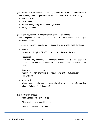(ii)A Character flaw flows out of a lack of integrity and will show up on various occasions but especially when the person is placed under pressure. It manifests through:

- Unaccountability.
- Deceitfulness
- Blame shifting (shifting blame by making excuses).
- Self-righteousness.

(iii)The only way to deal with a character flaw is through brokenness.

Illus: The potter and the clay (Jeremiah 18:1-6). The potter has to remake the pot removing the flaws.

The road to recovery is possible as long as one is willing to follow these four steps:

- Humility. James 4:6 "…God gives GRACE to the humble." (He resists the proud.)
- Repentance.

Judas was only remorseful not repentant. Matthew 27:3-5. True repentance creates genuine brokenness, willingness to make restitution and a desire to become whole.

- Restoration through retraining. Peter was repentant and willing to confess his love for Christ after his denial. John 21:15-19
- Accountability.

Allowing someone into your inner world who will walk the journey of restoration with you. Galatians 6:1-2, James 5:16.

(iv) Billy Graham once said

When wealth is lost – nothing is lost

When health is lost – something is lost

When character is lost – all is lost.

© John Iuliano ~ 9 ~ Leadership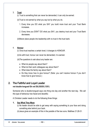#### 3. **Trust**

(i) Trust is something that can never be demanded, it can only be earned.

(ii)Trust is not earned by what you say but by what you do.

- 1. Every time you DO what you SAY you build more trust and your Trust Bank increases.
- 2. Every time you DON'T DO what you SAY, you destroy trust and your Trust Bank decreases.

(iii)Never place people into leadership with no trust in the trust bank.

#### 4. **Honour**

(i) Once trust reaches a certain level, it changes to HONOUR.

(ii)As with trust, honour can never be demanded, it is earned.

(iii)The questions to ask about any leader are:

- What do people say about them?
- What do their work colleagues say about them?
- What does the family say about them?
- Do they know how to give honour? (Note: you can't receive honour if you don't know how to give honour.)

## **2. The Faithful and Loyal Leader**

### **not double tongued Gk not DILOGOS (1351)**

Someone who is double-tongued says one thing one day and another the next day. We call this type of behaviour two faced and deceitful.

A Christian Leader needs to do the following three things:

### **1. Say What They Mean**

- (i) No leader should be able to get away with saying something to your face and doing something else behind your back.
- (ii)Jesus gives an example of this in the parable of the two sons. Matthew 21:28-31.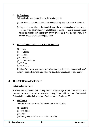#### 2. **Be Consistent**

- (i) Every leader must be consistent in the way they do life.
- (ii)They cannot be a Christian on Sunday and something else on Monday to Saturday.
- (iii)They need to be pillars in the church. Every pillar in a building has a "load rating". The load rating determines what weight the pillar can hold. There is no good reason to appoint a leader that cannot carry any weight, or has a very low load rating. They will end up sooner or later letting you down.

#### 3. **Be Loyal to Key Leaders and to Key Relationships**

- (i) To God
- (ii) To Church
- (iii) To Pastor
- (iv) To Spouse
- (v) To Children/family
- (vi) To Boss
- (vii) To Friends

Question: Who would you take to war? Who would you like in the trenches with you? Who would protect your back and would not desert you when the going gets tough?

## **3. The Self Controlled Leader**

#### **Not given to much wine**

In Paul's day, and even today, drinking too much was a sign of lack of self-control. This comment covers much more than excessive drinking, it deals with the issue of self-control. Self-control is one of the fruit of the Spirit Paul mentions in Galatians 5:23.

#### **1. Self Control**

Self-control would also cover, but is not limited to the following:

- (i) Gambling
- (ii) Over eating
- (iii) Anger
- (iv) Pornography and other areas of elicit sexuality

 $\odot$  John Iuliano  $\sim$  11  $\sim$   $\sim$  11  $\sim$  . The Leadership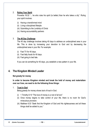#### 2. **Ruling Your Spirit**

Proverbs 16:32 "... he who rules his spirit (is better) than he who takes a city". Ruling your spirit involves:

- (i) Having a transformed mind
- (ii) Living a disciplined lifestyle
- (iii) Submitting to the Lordship of Christ
- (iv) Having accountability partners

#### 3. **The 40 Day Challenge**

The 40 day challenge involves taking 40 days to address an undisciplined area in your life. This is done by increasing your devotion to God and by decreasing the undisciplined area in your life. For example:

- (i) Fast TV for 40 days.
- (ii) Fast fatty foods for 40 days.
- (iii) Fast going to bed late.

If you can do something for 40 days, you establish a new pattern in your life.

### **4. The Kingdom Minded Leader**

#### **Not greedy for money**

**In order to become Kingdom minded and break the hold of money and materialism over our lives, we need to do the following three things:**

#### 1. **Trust in God**

Being greedy for money shows lack of trust in God.

- (i) 1 Timothy 6:10 "The love of money is a root of all evil."
- (ii) Once money begins to take control of your life, there is no room for God's miraculous provision.
- (iii) Matthew 6:33 "Seek first the Kingdom of God and His righteousness and all these things shall be added to you."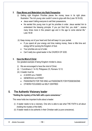#### **2. Place Money and Materialism into Right Perspective**

- (i) Getting right Kingdom Priorities places the money issue in its right place. Illustration: The rich young ruler couldn't come to grips with this (Luke 18:18-30).
	- Jesus wasn't telling everyone to sell their possessions.
	- He wanted this young man to get his priorities in order. Jesus wanted him to understand the blessing principle. If you put God first, you shall "…receive many times more in this present age and in the age to come eternal life." Luke 18:30

(ii) Keep money out of your heart and God will keep it in your pocket.

- If you spend all your energy and time making money, there is little time and energy left for pursing the Kingdom of God.
- Your priorities are out of order.
- Can't really be a great leader in the CHURCH OF GOD.

#### **3. Have the Mind of Christ**

Our greatest example of being Kingdom minded is Jesus.

- (i) We are encouraged to have the mind of Christ.
- (ii) 1 Corinthians 2: 14-16, Philippians 2:5, Romans 12:12.
- (iii) A leader must be
	- A GIVER not a TAKER
	- GENEROUS not STINGY
	- PASSIONATE FOR THE KING not PASSIONATE FOR POSSESSIONS
	- OTHERS FOCUSSED not SELF CENTRED

### **5. The Authentic Visionary leader**

#### **"Holding the mystery of the faith with a pure conscience."**

This verse holds two important truths about a leader:

- (i) A leader needs to be a visionary. One who is able to see what THE FAITH is all about (holding the mystery of the faith).
- (ii) A leader needs to be authentic in their Christian walk (a pure conscience).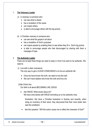#### 1. **The Visionary Leader**

- (i) A visionary is someone who:
	- can see what is ahead
	- has a revelation of the cause
	- can inspire others
	- is able to encourage others with the big picture.
- (ii) A Christian visionary is someone who:
	- can see what the gospel is all about
	- has a revelation of God's purposes
	- can inspire people by enabling them to see where they fit in God's big picture
	- is able to encourage people who feel discouraged by sharing with them a message of hope.

#### *2.* **The Authentic Leader**

There are at least three things we need to keep in mind if we want to be authentic. We need to:

- (i) Live with a clear conscience The only way to get a CLEAR CONSCIENCE is to live an authentic life
	- Once we have known the truth, we need to live the truth.
	- We can't have leaders who know the truth and live a lie.

#### (ii)Be Christ Like

Our faith is all about BECOMING LIKE JESUS

• Ask WWJD: What would Jesus do? We have wrist bands with WWJD reminding us to live authentic lives.

Illustration: We have a Christian bookstore in Sydney and recently, when doing an inventory of their stock, they discovered that their most stolen item was this wristband.

• Ask this question: "Will this action cause me to reflect the character of God?"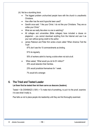- (iii) Not be a stumbling block.
	- The biggest problem unchurched people have with the church is unauthentic Christians.
	- How often has the word hypocrite been used?
	- Gandhi once said: "I like your Christ. I do not like your Christians. They are so unlike your Christ."
	- What are we really like when no one is watching?
	- All colleges and universities (Bible colleges) have included a clause on plagiarism – you cannot download anything from the Internet and use it as your own without giving credit to the author.
	- James Peterson and Peter Kim wrote a book called "When America Told the Truth".

87% don't see the 10 commandments as binding.

91% lie regularly.

50% of workers admit to having a sickie when not sick at all.

• When asked, "What would you do for \$1 million?" 25% would abandon their families.

23% would prostitute themselves for 1 week.

7% would kill a stranger.

### **6. The Tried and Tested Leader**

#### **Let them first be tested then let them serve as deacons (leaders).**

Tested = Gk DOKIMAZO (1381) = To make trial of something, to put it to the proof, examine it to see what it really is.

Paul tells us not to place people into leadership until they are first thoroughly examined.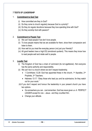#### **7 TESTS OF LEADERSHIP**

#### 1. **Commitment to God Test**

- (i) How committed are they to God?
- (ii) Do they come to church regularly because God is a priority?
- (iii) Do they do regular devotions because they love spending time with God?
- (iv) Do they worship God with passion?

#### 2. **Commitment to People Test**

- (i) We can't lead people if we don't love people.
- (ii) To love people means that we are available for them, show them compassion and listen to them.
- (iii) How well do you treat the everyday person (not just your friends)?
- (iv) All good leaders have a high EQ (emotional quotient). This means they know how to read people well and relate well to people.

#### 3. **Loyalty Test**

- (i) The Kingdom of God has a chain of command (its not egalitarian). Not everyone has the same authority and responsibility.
- (ii) We can't be in a church where we don't respect leadership.
	- 1 Corinthians 12:28: God has appointed these in the church, 1<sup>st</sup> Apostles, 2<sup>nd</sup> Prophets, 3rd Teachers.
	- Hebrews 13:17: "Obey those who lead you and be submissive, for they watch out for your souls."
- (iii) If you don't respect and honour the leadership in your present church you have two options.
	- Go somewhere you can. Just remember, God has never given us A PERFECT LEADER except for one – Jesus - and they crucified Him.
	- Change your attitude.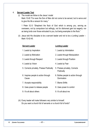#### 4. **Servant Leader Test**

(i) The model we follow is the Jesus' model Mark 10:45 "For even the Son of Man did not come to be served, but to serve and to give His life a ransom for many."

1 Peter 5:2-3 "Shepherd the flock of God which is among you, serving as overseers, not by compulsion but willingly, not for dishonest gain but eagerly: nor as being lords over those entrusted to you, but being examples to the flock."

(ii) Jesus told His disciples to be a servant leader and not to be a Lording Leader – Mark 10:42-45

#### **Servant Leader Lording Leader**

- 1. Leads by Inspiration 1. Leads by Intimidation
- 2. Leads by Motivation 2. Leads through Manipulation
- 3. Leads through Respect 3. Leads through Position
- 4. Leads by Vision 4. Leads by Fear
- 5. Corrects privately, Praises Publically 5. Praises privately, Corrects
- 6. Inspires people to action through **Cause**
- 7. Accepts responsibility 7. Blame Shifts
- 8. Uses power to release people 8. Uses power to control
- 9. It's all about others 9. It's all about me
- **Publically**
- 6. Bullies people to action through **Domination**
- 
- 
- 
- (iii) Every leader will make followers very similar to himself. Do you want a church full of servants or a church full of lords?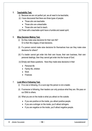#### 5. **Teachability Test**.

- (i) Because we are not perfect yet, we all need to be teachable;
- (ii) I have discovered that there are three types of people:
	- Those who are teachable
	- Those who are unteachable
	- Those who are hard to teach.
- (iii) Those with a teachable spirit have a humble and sweet spirit.

#### 6. **Wise Decision Making Test**.

- (i) Do they make wise decisions for their own life? Or is their life a legacy of bad decisions.
- (ii) If a person cannot make wise decisions for themselves how can they make wise decisions for others?
- (iii) If a leader cannot get order into their own house, their own business, their own personal dealings, then they cannot get order into the house of God.
- (iv) Simply ask these questions. Have they made wise decisions in their
	- Personal life
	- Family life, children
	- Work
	- Finances

#### 7. **Look Who's Following Test**.

- (i) If no one is following, it's a sure sign the person is not a leader.
- (ii) If someone is following, then leaders can only produce what they are. We pass on our DNA to others.
- (iii) What you are on the inside is what you attract on the outside.
	- If you are positive on the inside, you attract positive people.
	- If you are a whinger on the inside, you'll attract whingers.
	- If you are negative on the inside, you'll attract negative people.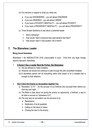(iv) You become a magnet to what you really are.

- If you are DISORDERED you will attract DISORDER
- If you are ORDERED you will attract ORDER
- If you have a POVERTY MENTALITY you will attract POVERTY
- If you have a PROSPERITY MENTALITY you will attract PROSPERITY

(v) Three Simple Questions to ask about a potential leader

- 1. Who's following?
- 2 How would I feel if everyone they lead became like them?
- 3. How would I feel if I had another 100 of them?

## **7. The Blameless Leader**

#### **Being found blameless**

Blameless = Gk ANEGKLETOS (410) unaccusable in court. Free from any legal charge, beyond reproach, blameless.

#### 1. **It Doesn't Say a Leader Must Be Perfect, But Blameless**

- (i) We are allowed to make mistakes.
- (ii) However we should not continue to walk through life with uncertified mistakes.
- (iii) A blameless person will do everything within their power to fix a mistake that is brought to their attention.

#### 2. **Don't Give the Enemy an Accusation Against You**

- (i) Revelation 12:10: "...for the accuser of our brethren who accused them before our God day and night ..."
- (ii) The Bible is clear about not giving the enemy an opportunity, a foothold, a way to be able to accuse us. Ephesians 4:27.
- (iii) The only way an accusation can be removed is by
	- Repentance
	- Restitution (if at all possible)
	- Calling on the blood of Jesus
	- Closing the door to the enemy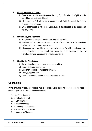#### 3. **Don't Grieve The Holy Spirit**

- (i) Ephesians 4: 30 tells us not to grieve the Holy Spirit. To grieve the Spirit is to do something that contrary to His will.
- (ii) 1 Thessalonians 5:19 tells us not to quench the Holy Spirit. To quench the Spirit is to ignore His promptings.
- (iii) Every leader needs to walk in the Spirit, living a life submitted to the direction of the Holy Spirit.

#### 4. **Live Life Beyond Reproach**

- (i) Many translators interpret blameless as "beyond reproach".
- (ii) Don't look to how close you can get to the line of error. Live life so far away from the line so that no one can reproach you.
- (iii) It is dangerous to use liberty and trust as license to flirt with questionable grey areas. Everything is less complicated when the leader chooses to live life blameless, beyond reproach and always accountable.

#### 5. **Live Life the Simple Way**

- (i) Have a delicate conscience and clear accountability.
- (ii) Live a life of daily repentance.
- (iii) Keep short accounts Practice forgiveness.
- (iv) Keep your spirit sweet.
- (v) Live a life of worship, devotion and fellowship with God.

## **Conclusion**

In the language of today, the Apostle Paul told Timothy when choosing a leader, look for these 7 essential qualities. A Christian Leader therefore:

- 1. Has Good Character
- 2. Is Faithful and Loyal
- 3. Is Self-Controlled
- 4. Is Kingdom Minded
- 5. Is Visionary and Authentic
- 6. Has been Tried and Tested
- 7. Is found to be Blameless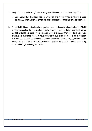- A. Imagine for a moment if every leader in every church demonstrated the above 7 qualities.
	- Don't worry if they don't score 100% in every area. The important thing is that they at least get a PASS. Then we can help them get better through focus and leadership development.
- B. People that fail in achieving the above qualities disqualify themselves from leadership. What it simply means is that they have either: a bad character or are not faithful and loyal, or are not self-controlled, or don't have a kingdom mind, or it means they don't have vision and don't live life authentically or they have been tested but failed and found to be in reproach. How can such a person be placed into Christian Leadership? Alternatively, any church that can produce this type of leader who exhibits these 7 qualities will be strong, healthy and moving toward achieving their God-given destiny.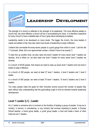

## Leadership Development

The strength of a church is reflected in the strength of its leadership. The more effective leaders a church has, the more effective a church will be in accomplishing its vision. It is therefore imperative for every church to have a detailed plan of how it goes about developing its leaders.

Leadership needs to be developed on many levels. The bigger the church, the more leaders it needs and added to that, they also need more levels of leadership to keep it effective.

I believe that one-leader-for-every-seven people is a good gauge from which to work. I call this the 1:7 principle. (Note: this is an approximate number; it doesn't have to be exactly 7)

To take this up another level, we also need one level 2 leader for every seven level 1 leaders we develop. And to follow on, we also need one level 3 leader for every seven level 2 leaders we develop.

In a church of 50-60 people, that means we need to raise up seven level 1 leaders and one level 2 leader to keep it effective.

In a church of 200 people, we need at least 27 level 1 leaders, 4 level 2 leaders and 1 level 3 leader.

In a church of 500 people, we need at least 70 level 1 leaders, 10 level 2 leaders and 2 level 3 leaders.

Too many people make the goals for their churches revolve around the number of people they want without fully understanding that the goal-setting ought to first be directed towards leadership development.

## **Level 1 Leader (L1) - Leader**

An L1 leader is someone who is involved on the frontline of leading a group of people. It may be in ministry, in service, in volunteering, or any ministry that involves imparting to people. A Sunday School teacher, a home group leader, a youth group leader, a host who leads a team of other hosts are all L1 leaders.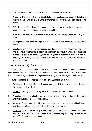The qualities that need to be imparted and to look for in L1 leader are as follows.

- 1. A Disciple. They need first to be a disciple before they can become a leader. A disciple is a follower of Christ who obeys all of Christ's commands and reflects the DNA and culture of the church.
- 2. A Son/Daughter of the House. They need to be loyal and a role model of the values of the church, firmly planted and flourishing in the House of God.
- 3. A Servant. They need to understand that leadership is about serving people not lording over people.
- 4. Helping Others. High up on their agenda must be a desire to help others and be a blessing to others.
- 5. Impartation. Also high on their agenda must be a desire to impart into others what they know, what they have, what they have discovered and the life they have in Christ. They don't need to be miles in front of the people they lead; they only need to be ahead of them. A 10 year old doesn't yet know everything but they know more than a 5 year old. This makes them eligible to lead 5 year olds.

## **Level 2 Leader (L2) - Supervisor.**

An L2 leader is someone who leads L1 leaders. They are supervisors and help other leaders become more effective. A Sunday School superintendent who supervises Sunday School teachers is an L2 leader. A regional leader who supervises connect groups in their region is an L2 leader.

The qualities that need to be imparted and to look for in L2 leaders are as follows.

- 1. Experienced. To be an effective L2 leader, one must first be an experienced L1 leader. Experience adds to credibility.
- 2. A Coach. Coaching is about drawing out of others what is already within them.
- 3. A Mentor. Mentoring is about imparting to others what you have but they don't yet have. Sharing knowledge, experience and wisdom.
- 4. Innovative. The problem solver. Able to see the challenges as they are approaching but even more importantly knows where to find the solutions to the challenges.
- 5. Accessible. Available to answer questions, follow up and follow through. Understanding that their success is connected to the success of the L1 leaders they lead. They see themselves as the "Go To" person for L1 Leaders.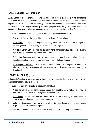## **Level 3 Leader (L3) - Director.**

An L3 Leader is a department leader who has responsibility for all the leaders in the department. They hold the leaders accountable for effectively ministering to the people in that particular department. Their main focus is strategy, systems and leadership development. They have transitioned from focusing on day-to-day ministry to people to overseeing the effective running of a department. In a growing church all department leaders ought to have the qualities of a L3 Leader.

The qualities that need to be imparted and to look for in L3 Leaders are as follows.

- 1. A Strategist. One who is able to think and plan at least 2-3 years ahead.
- 2. An Architect. A designer and implementer of systems. One who has an ability to put the pieces together so that everything works toward a common goal.
- 3. A Problem Solver. Someone who has the ability to fix any problem that arises in the system. Able to maintain and keep the system running well.
- 4. A Recruiter. Someone who is able to recruit people and grow the organization. They can recruit because they are able to cast a convincing vision that excites people.
- 5. A Developer of Leaders. Has an ability to identify, develop and empower leaders to be effective in ministry. Isn't content with just maintaining but is passionate about growing the department.

## **Leader-in-Training (LT).**

A Leader-in-Training is someone who is showing signs of potential leadership and with training could easily become a Level 1 Leader.

The qualities to look for in a leader-in-training are as follows.

- 1. A Disciple. Before anyone can become a leader, they must first show evidence that they are a follower of Christ committed to obeying all His commands.
- 2. A Contributor. Is keen to not only be blessed but to become a blessing to others. Sees the vision of helping others as important and necessary.
- 3. Motivated. Shows signs of wanting to get involved. Not happy to just sit on the fence. Wants to get into the game and not just spectate.

There is a detailed questionnaire that is attached to help you begin identifying potential leaders.